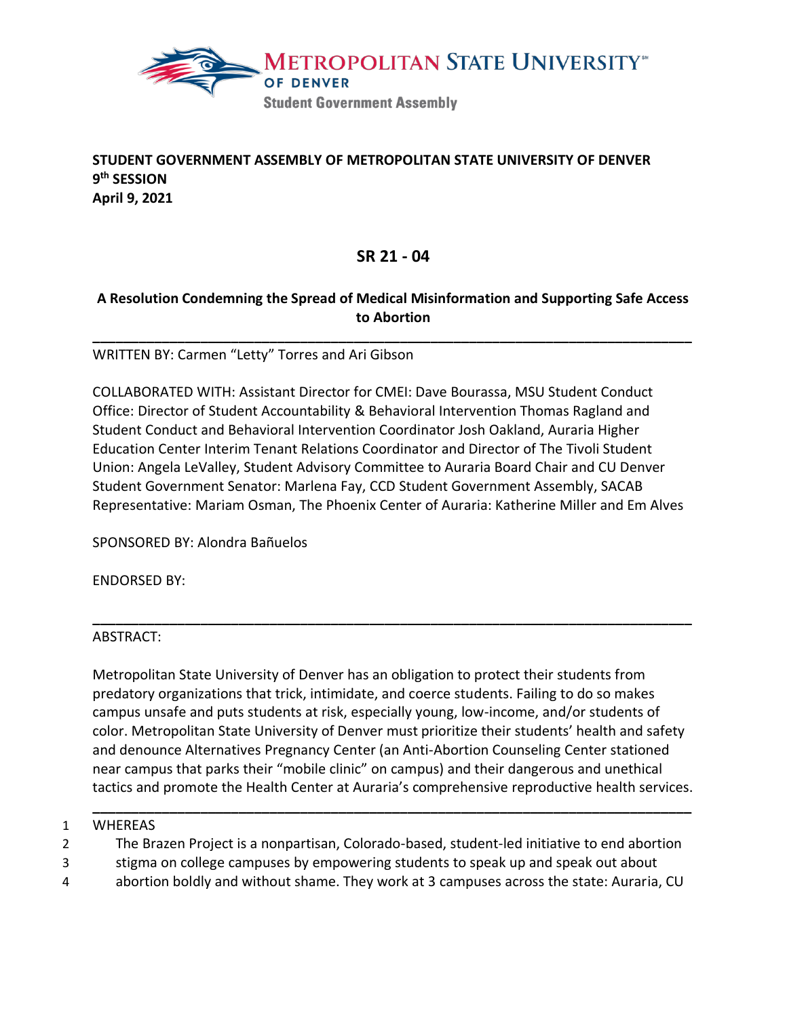

## **STUDENT GOVERNMENT ASSEMBLY OF METROPOLITAN STATE UNIVERSITY OF DENVER 9th SESSION April 9, 2021**

## **SR 21 - 04**

## **A Resolution Condemning the Spread of Medical Misinformation and Supporting Safe Access to Abortion**

**\_\_\_\_\_\_\_\_\_\_\_\_\_\_\_\_\_\_\_\_\_\_\_\_\_\_\_\_\_\_\_\_\_\_\_\_\_\_\_\_\_\_\_\_\_\_\_\_\_\_\_\_\_\_\_\_\_\_\_\_\_\_\_\_\_\_\_\_\_\_\_\_\_\_\_\_\_\_**

WRITTEN BY: Carmen "Letty" Torres and Ari Gibson

COLLABORATED WITH: Assistant Director for CMEI: Dave Bourassa, MSU Student Conduct Office: Director of Student Accountability & Behavioral Intervention Thomas Ragland and Student Conduct and Behavioral Intervention Coordinator Josh Oakland, Auraria Higher Education Center Interim Tenant Relations Coordinator and Director of The Tivoli Student Union: Angela LeValley, Student Advisory Committee to Auraria Board Chair and CU Denver Student Government Senator: Marlena Fay, CCD Student Government Assembly, SACAB Representative: Mariam Osman, The Phoenix Center of Auraria: Katherine Miller and Em Alves

SPONSORED BY: Alondra Bañuelos

ENDORSED BY:

#### ABSTRACT:

Metropolitan State University of Denver has an obligation to protect their students from predatory organizations that trick, intimidate, and coerce students. Failing to do so makes campus unsafe and puts students at risk, especially young, low-income, and/or students of color. Metropolitan State University of Denver must prioritize their students' health and safety and denounce Alternatives Pregnancy Center (an Anti-Abortion Counseling Center stationed near campus that parks their "mobile clinic" on campus) and their dangerous and unethical tactics and promote the Health Center at Auraria's comprehensive reproductive health services.

**\_\_\_\_\_\_\_\_\_\_\_\_\_\_\_\_\_\_\_\_\_\_\_\_\_\_\_\_\_\_\_\_\_\_\_\_\_\_\_\_\_\_\_\_\_\_\_\_\_\_\_\_\_\_\_\_\_\_\_\_\_\_\_\_\_\_\_\_\_\_\_\_\_\_\_\_\_\_**

**\_\_\_\_\_\_\_\_\_\_\_\_\_\_\_\_\_\_\_\_\_\_\_\_\_\_\_\_\_\_\_\_\_\_\_\_\_\_\_\_\_\_\_\_\_\_\_\_\_\_\_\_\_\_\_\_\_\_\_\_\_\_\_\_\_\_\_\_\_\_\_\_\_\_\_\_\_\_**

#### 1 WHEREAS

2 The Brazen Project is a nonpartisan, Colorado-based, student-led initiative to end abortion

- 3 stigma on college campuses by empowering students to speak up and speak out about
- 4 abortion boldly and without shame. They work at 3 campuses across the state: Auraria, CU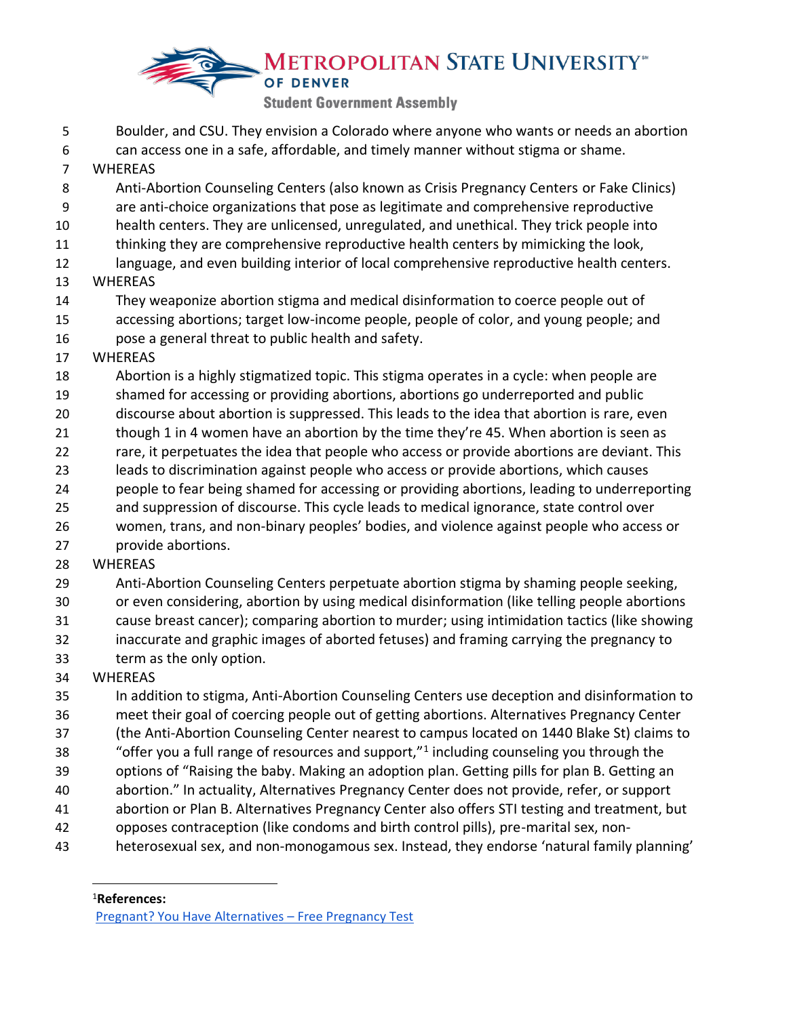# **METROPOLITAN STATE UNIVERSITY OF DENVER Student Government Assembly**

- Boulder, and CSU. They envision a Colorado where anyone who wants or needs an abortion can access one in a safe, affordable, and timely manner without stigma or shame. WHEREAS Anti-Abortion Counseling Centers (also known as Crisis Pregnancy Centers or Fake Clinics) are anti-choice organizations that pose as legitimate and comprehensive reproductive health centers. They are unlicensed, unregulated, and unethical. They trick people into thinking they are comprehensive reproductive health centers by mimicking the look, language, and even building interior of local comprehensive reproductive health centers. WHEREAS They weaponize abortion stigma and medical disinformation to coerce people out of accessing abortions; target low-income people, people of color, and young people; and pose a general threat to public health and safety. WHEREAS Abortion is a highly stigmatized topic. This stigma operates in a cycle: when people are shamed for accessing or providing abortions, abortions go underreported and public discourse about abortion is suppressed. This leads to the idea that abortion is rare, even 21 though 1 in 4 women have an abortion by the time they're 45. When abortion is seen as rare, it perpetuates the idea that people who access or provide abortions are deviant. This leads to discrimination against people who access or provide abortions, which causes people to fear being shamed for accessing or providing abortions, leading to underreporting and suppression of discourse. This cycle leads to medical ignorance, state control over women, trans, and non-binary peoples' bodies, and violence against people who access or provide abortions. WHEREAS Anti-Abortion Counseling Centers perpetuate abortion stigma by shaming people seeking, or even considering, abortion by using medical disinformation (like telling people abortions cause breast cancer); comparing abortion to murder; using intimidation tactics (like showing inaccurate and graphic images of aborted fetuses) and framing carrying the pregnancy to
- term as the only option.

## WHEREAS

 In addition to stigma, Anti-Abortion Counseling Centers use deception and disinformation to meet their goal of coercing people out of getting abortions. Alternatives Pregnancy Center (the Anti-Abortion Counseling Center nearest to campus located on 1440 Blake St) claims to 38 "offer you a full range of resources and support," including counseling you through the options of "Raising the baby. Making an adoption plan. Getting pills for plan B. Getting an abortion." In actuality, Alternatives Pregnancy Center does not provide, refer, or support abortion or Plan B. Alternatives Pregnancy Center also offers STI testing and treatment, but

- opposes contraception (like condoms and birth control pills), pre-marital sex, non-
- heterosexual sex, and non-monogamous sex. Instead, they endorse 'natural family planning'

**References:** 

[Pregnant? You Have Alternatives](https://youhavealternatives.org/pregnancy-options-free-pregnancy-test/) – Free Pregnancy Test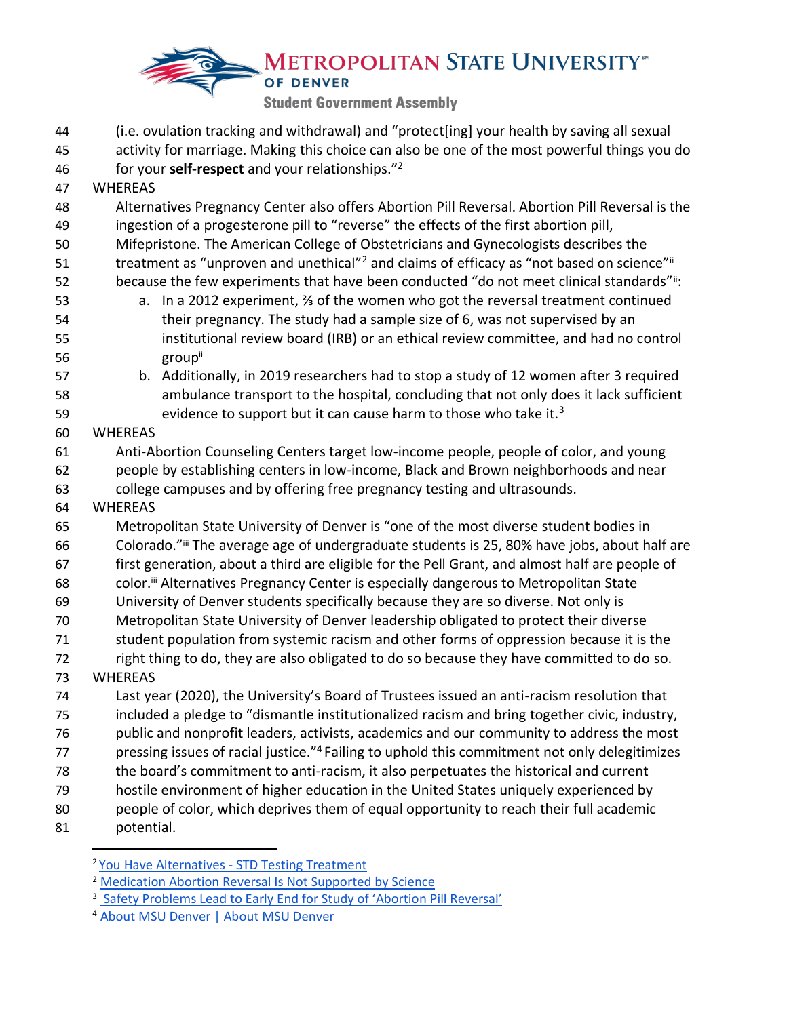# **METROPOLITAN STATE UNIVERSITY OF DENVER Student Government Assembly**

(i.e. ovulation tracking and withdrawal) and "protect[ing] your health by saving all sexual

 activity for marriage. Making this choice can also be one of the most powerful things you do for your **self-respect** and your relationships."2 46

- WHEREAS
- Alternatives Pregnancy Center also offers Abortion Pill Reversal. Abortion Pill Reversal is the ingestion of a progesterone pill to "reverse" the effects of the first abortion pill,
- Mifepristone. The American College of Obstetricians and Gynecologists describes the
- 51 treatment as "unproven and unethical"<sup>2</sup> and claims of efficacy as "not based on science"<sup>ii</sup>
- because the few experiments that have been conducted "do not meet clinical standards" i:
- a. In a 2012 experiment, ⅔ of the women who got the reversal treatment continued their pregnancy. The study had a sample size of 6, was not supervised by an institutional review board (IRB) or an ethical review committee, and had no control 56 group<sup>ii</sup>
- b. Additionally, in 2019 researchers had to stop a study of 12 women after 3 required ambulance transport to the hospital, concluding that not only does it lack sufficient 59 sevidence to support but it can cause harm to those who take it.<sup>3</sup>
- WHEREAS
- Anti-Abortion Counseling Centers target low-income people, people of color, and young people by establishing centers in low-income, Black and Brown neighborhoods and near college campuses and by offering free pregnancy testing and ultrasounds.
- WHEREAS
- Metropolitan State University of Denver is "one of the most diverse student bodies in 66 Colorado."iii The average age of undergraduate students is 25, 80% have jobs, about half are first generation, about a third are eligible for the Pell Grant, and almost half are people of 68 color.<sup>ii</sup> Alternatives Pregnancy Center is especially dangerous to Metropolitan State
- University of Denver students specifically because they are so diverse. Not only is
- Metropolitan State University of Denver leadership obligated to protect their diverse
- student population from systemic racism and other forms of oppression because it is the
- right thing to do, they are also obligated to do so because they have committed to do so. WHEREAS
- Last year (2020), the University's Board of Trustees issued an anti-racism resolution that included a pledge to "dismantle institutionalized racism and bring together civic, industry, public and nonprofit leaders, activists, academics and our community to address the most
- pressing issues of racial justice."<sup>4</sup> Failing to uphold this commitment not only delegitimizes
- the board's commitment to anti-racism, it also perpetuates the historical and current
- hostile environment of higher education in the United States uniquely experienced by
- people of color, which deprives them of equal opportunity to reach their full academic
- potential.

<sup>&</sup>lt;sup>2</sup> You Have Alternatives - STD Testing Treatment

[Medication Abortion Reversal Is Not Supported by Science](https://www.acog.org/en/Advocacy/Facts%20are%20Important/Medication%20Abortion%20Reversal%20Is%20Not%20Supported%20by%20Science)

<sup>&</sup>lt;sup>3</sup> [Safety Problems Lead to Early End for St](https://www.npr.org/sections/health-shots/2019/12/05/785262221/safety-problems-lead-to-early-end-for-study-of-abortion-pill-reversal)udy of 'Abortion Pill Reversal'

[About MSU Denver | About MSU Denver](https://www.msudenver.edu/about/)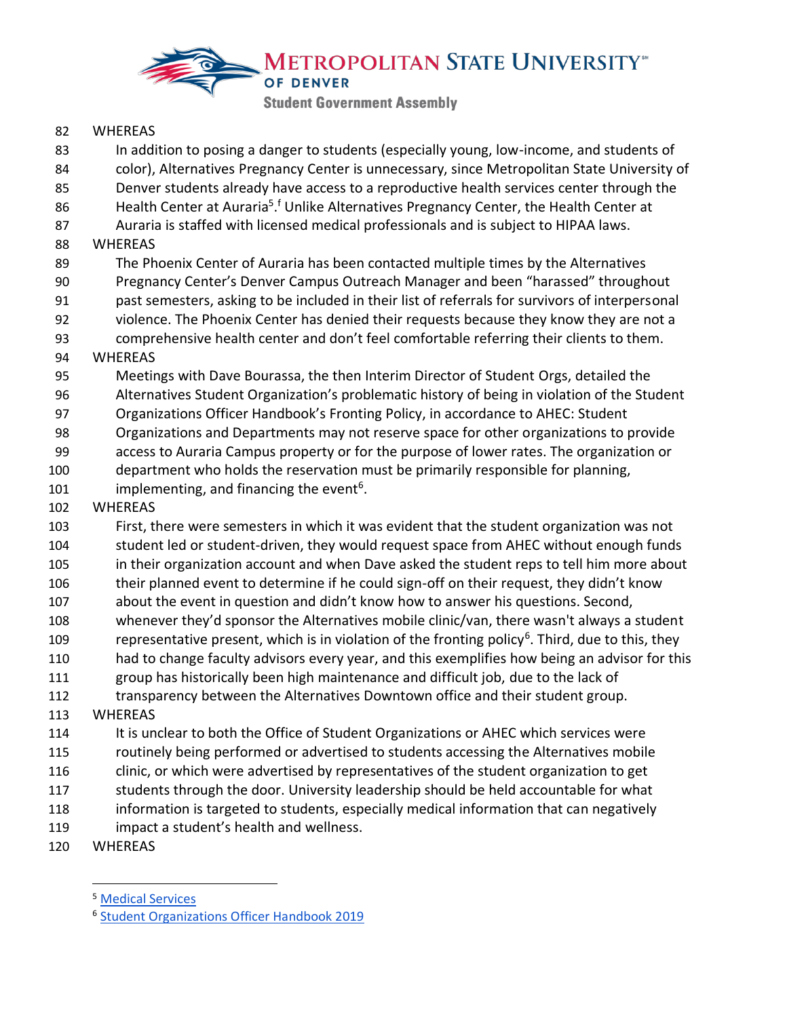

#### WHEREAS

83 In addition to posing a danger to students (especially young, low-income, and students of color), Alternatives Pregnancy Center is unnecessary, since Metropolitan State University of Denver students already have access to a reproductive health services center through the 86 Health Center at Auraria<sup>5</sup>.<sup>f</sup> Unlike Alternatives Pregnancy Center, the Health Center at Auraria is staffed with licensed medical professionals and is subject to HIPAA laws. WHEREAS The Phoenix Center of Auraria has been contacted multiple times by the Alternatives Pregnancy Center's Denver Campus Outreach Manager and been "harassed" throughout past semesters, asking to be included in their list of referrals for survivors of interpersonal violence. The Phoenix Center has denied their requests because they know they are not a comprehensive health center and don't feel comfortable referring their clients to them. WHEREAS Meetings with Dave Bourassa, the then Interim Director of Student Orgs, detailed the Alternatives Student Organization's problematic history of being in violation of the Student Organizations Officer Handbook's Fronting Policy, in accordance to AHEC: Student Organizations and Departments may not reserve space for other organizations to provide access to Auraria Campus property or for the purpose of lower rates. The organization or department who holds the reservation must be primarily responsible for planning, 101 implementing, and financing the event<sup>6</sup>. WHEREAS First, there were semesters in which it was evident that the student organization was not student led or student-driven, they would request space from AHEC without enough funds in their organization account and when Dave asked the student reps to tell him more about their planned event to determine if he could sign-off on their request, they didn't know about the event in question and didn't know how to answer his questions. Second, whenever they'd sponsor the Alternatives mobile clinic/van, there wasn't always a student 109 representative present, which is in violation of the fronting policy<sup>6</sup>. Third, due to this, they had to change faculty advisors every year, and this exemplifies how being an advisor for this group has historically been high maintenance and difficult job, due to the lack of transparency between the Alternatives Downtown office and their student group. WHEREAS 114 It is unclear to both the Office of Student Organizations or AHEC which services were routinely being performed or advertised to students accessing the Alternatives mobile clinic, or which were advertised by representatives of the student organization to get students through the door. University leadership should be held accountable for what information is targeted to students, especially medical information that can negatively impact a student's health and wellness.

WHEREAS

[Medical Services](https://healthcenter1.com/medical-services/)

[Student Organizations Officer Handbook 2019](https://roadrunnerlink.msudenver.edu/organization/student-activities/documents)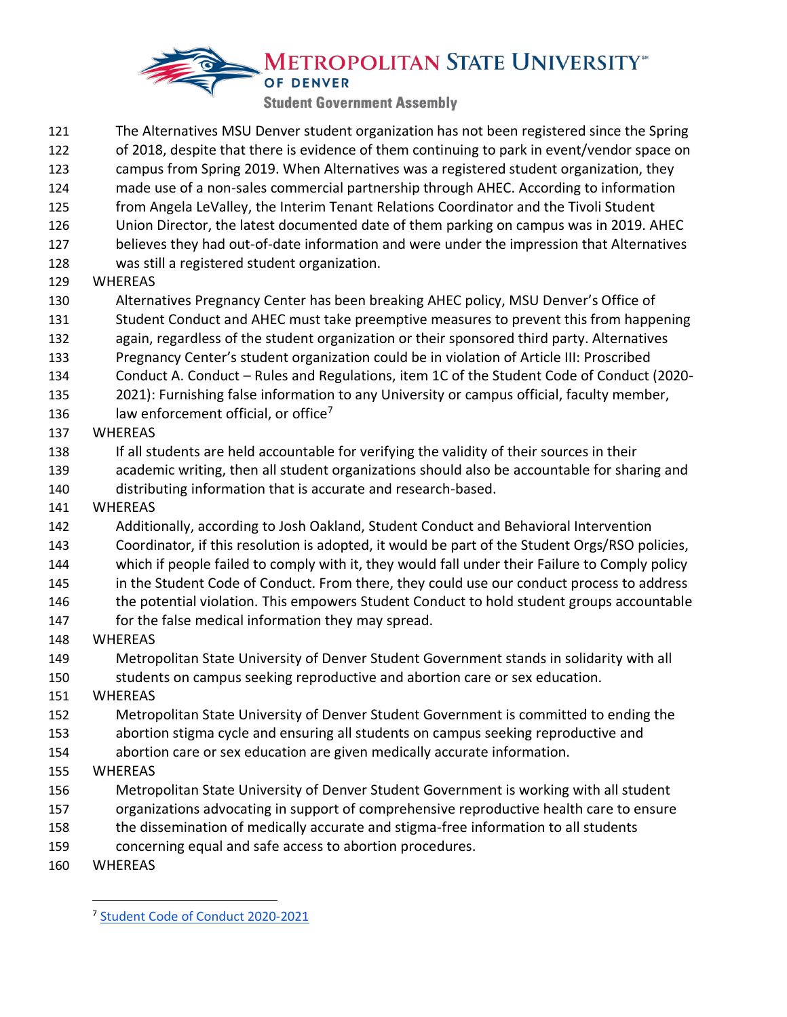# **METROPOLITAN STATE UNIVERSITY OF DENVER**

**Student Government Assembly** 

- The Alternatives MSU Denver student organization has not been registered since the Spring of 2018, despite that there is evidence of them continuing to park in event/vendor space on campus from Spring 2019. When Alternatives was a registered student organization, they made use of a non-sales commercial partnership through AHEC. According to information from Angela LeValley, the Interim Tenant Relations Coordinator and the Tivoli Student Union Director, the latest documented date of them parking on campus was in 2019. AHEC believes they had out-of-date information and were under the impression that Alternatives was still a registered student organization. WHEREAS Alternatives Pregnancy Center has been breaking AHEC policy, MSU Denver's Office of Student Conduct and AHEC must take preemptive measures to prevent this from happening again, regardless of the student organization or their sponsored third party. Alternatives
- Pregnancy Center's student organization could be in violation of Article III: Proscribed
- Conduct A. Conduct Rules and Regulations, item 1C of the Student Code of Conduct (2020-
- 2021): Furnishing false information to any University or campus official, faculty member,
- 136 law enforcement official, or office<sup>7</sup>
- WHEREAS
- If all students are held accountable for verifying the validity of their sources in their
- academic writing, then all student organizations should also be accountable for sharing and distributing information that is accurate and research-based.
- WHEREAS
- Additionally, according to Josh Oakland, Student Conduct and Behavioral Intervention
- Coordinator, if this resolution is adopted, it would be part of the Student Orgs/RSO policies,
- which if people failed to comply with it, they would fall under their Failure to Comply policy
- in the Student Code of Conduct. From there, they could use our conduct process to address
- 146 the potential violation. This empowers Student Conduct to hold student groups accountable
- for the false medical information they may spread.
- WHEREAS
- Metropolitan State University of Denver Student Government stands in solidarity with all students on campus seeking reproductive and abortion care or sex education.
- WHEREAS
- Metropolitan State University of Denver Student Government is committed to ending the
- abortion stigma cycle and ensuring all students on campus seeking reproductive and
- abortion care or sex education are given medically accurate information.
- WHEREAS
- Metropolitan State University of Denver Student Government is working with all student
- organizations advocating in support of comprehensive reproductive health care to ensure
- the dissemination of medically accurate and stigma-free information to all students
- concerning equal and safe access to abortion procedures.
- WHEREAS

[Student Code of Conduct 2020-2021](https://www.msudenver.edu/media/content/policies/documents/Student_Code_of_Conduct_2020-2021.pdf)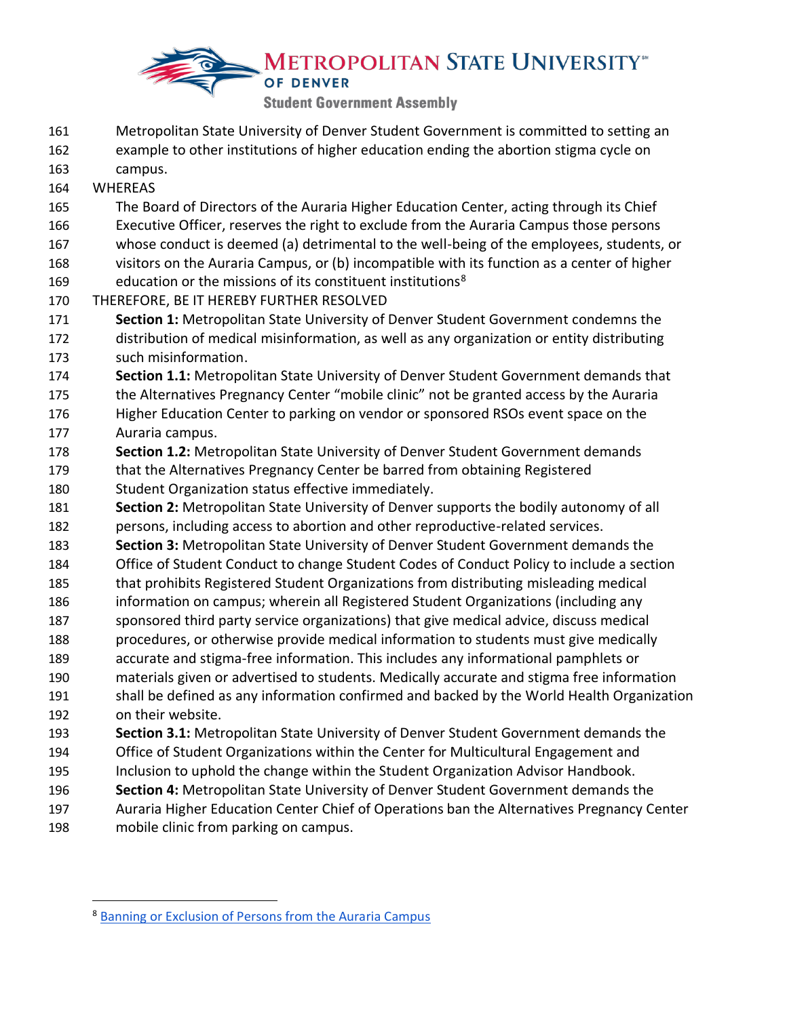# **METROPOLITAN STATE UNIVERSITY OF DENVER Student Government Assembly**

- Metropolitan State University of Denver Student Government is committed to setting an example to other institutions of higher education ending the abortion stigma cycle on
- campus.
- WHEREAS
- The Board of Directors of the Auraria Higher Education Center, acting through its Chief Executive Officer, reserves the right to exclude from the Auraria Campus those persons
- whose conduct is deemed (a) detrimental to the well-being of the employees, students, or
- visitors on the Auraria Campus, or (b) incompatible with its function as a center of higher
- 169 education or the missions of its constituent institutions<sup>8</sup>
- THEREFORE, BE IT HEREBY FURTHER RESOLVED
- **Section 1:** Metropolitan State University of Denver Student Government condemns the distribution of medical misinformation, as well as any organization or entity distributing such misinformation.
- **Section 1.1:** Metropolitan State University of Denver Student Government demands that
- the Alternatives Pregnancy Center "mobile clinic" not be granted access by the Auraria Higher Education Center to parking on vendor or sponsored RSOs event space on the Auraria campus.
- **Section 1.2:** Metropolitan State University of Denver Student Government demands that the Alternatives Pregnancy Center be barred from obtaining Registered
- Student Organization status effective immediately.
- **Section 2:** Metropolitan State University of Denver supports the bodily autonomy of all persons, including access to abortion and other reproductive-related services.
- **Section 3:** Metropolitan State University of Denver Student Government demands the
- Office of Student Conduct to change Student Codes of Conduct Policy to include a section that prohibits Registered Student Organizations from distributing misleading medical
- information on campus; wherein all Registered Student Organizations (including any
- sponsored third party service organizations) that give medical advice, discuss medical
- procedures, or otherwise provide medical information to students must give medically
- accurate and stigma-free information. This includes any informational pamphlets or
- materials given or advertised to students. Medically accurate and stigma free information shall be defined as any information confirmed and backed by the World Health Organization on their website.
- **Section 3.1:** Metropolitan State University of Denver Student Government demands the
- Office of Student Organizations within the Center for Multicultural Engagement and
- Inclusion to uphold the change within the Student Organization Advisor Handbook.
- **Section 4:** Metropolitan State University of Denver Student Government demands the
- Auraria Higher Education Center Chief of Operations ban the Alternatives Pregnancy Center
- mobile clinic from parking on campus.

[Banning or Exclusion of Persons from the Auraria Campus](https://www.ahec.edu/files/general/Policy-Banning-or-Exclusion-of-Persons-from-the-Auraria-Campus.pdf)